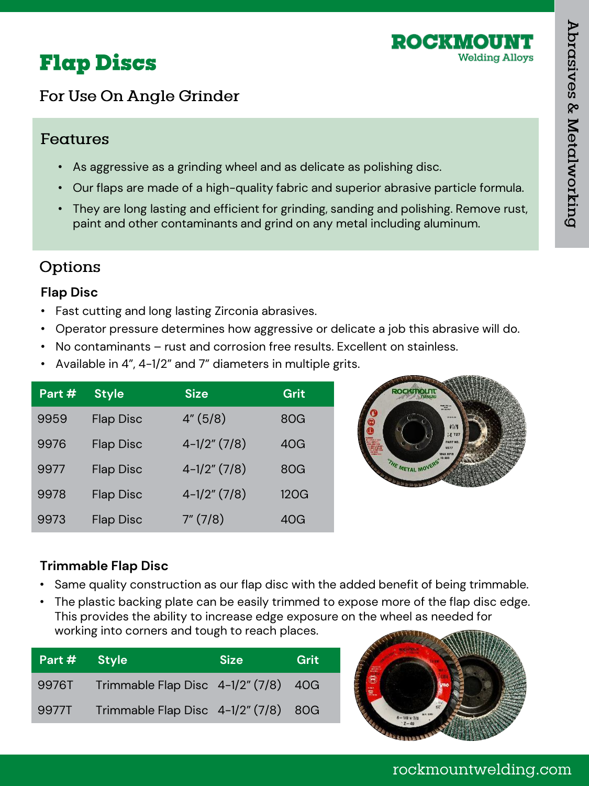

# **Flap Discs**

## For Use On Angle Grinder

### Features

- As aggressive as a grinding wheel and as delicate as polishing disc.
- Our flaps are made of a high-quality fabric and superior abrasive particle formula.
- They are long lasting and efficient for grinding, sanding and polishing. Remove rust, paint and other contaminants and grind on any metal including aluminum.

## Options

#### **Flap Disc**

- Fast cutting and long lasting Zirconia abrasives.
- Operator pressure determines how aggressive or delicate a job this abrasive will do.
- No contaminants rust and corrosion free results. Excellent on stainless.
- Available in 4", 4-1/2" and 7" diameters in multiple grits.

| Part # | <b>Style</b>     | <b>Size</b>     | Grit |
|--------|------------------|-----------------|------|
| 9959   | <b>Flap Disc</b> | 4''(5/8)        | 80G  |
| 9976   | <b>Flap Disc</b> | $4-1/2$ " (7/8) | 40G  |
| 9977   | <b>Flap Disc</b> | $4-1/2$ " (7/8) | 80G  |
| 9978   | <b>Flap Disc</b> | $4-1/2$ " (7/8) | 120G |
| 9973   | <b>Flap Disc</b> | 7''(7/8)        | 40G  |



#### **Trimmable Flap Disc**

- Same quality construction as our flap disc with the added benefit of being trimmable.
- The plastic backing plate can be easily trimmed to expose more of the flap disc edge. This provides the ability to increase edge exposure on the wheel as needed for working into corners and tough to reach places.

| Part # Style |                                      | <b>Size</b> | Grit |
|--------------|--------------------------------------|-------------|------|
| 9976T        | Trimmable Flap Disc 4-1/2" (7/8) 40G |             |      |
| 9977T        | Trimmable Flap Disc 4-1/2" (7/8) 80G |             |      |



rockmountwelding.com